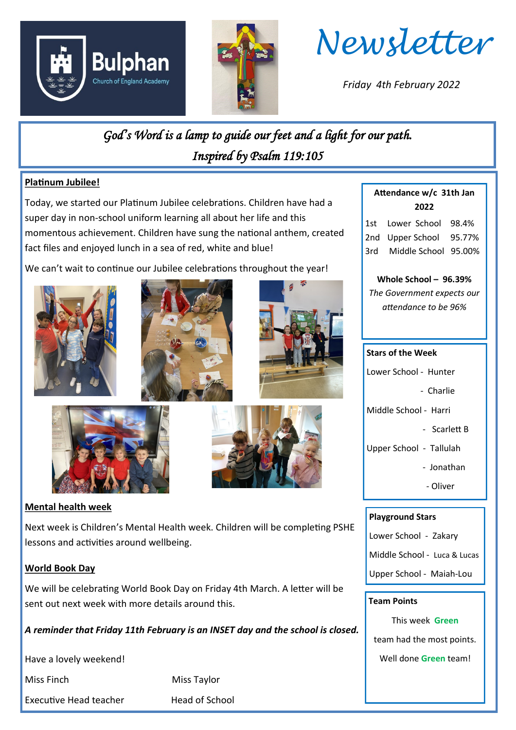



*Newsletter*

*Friday 4th February 2022*

*God's Word is a lamp to guide our feet and a light for our path. Inspired by Psalm 119:105* 

# **Platinum Jubilee!**

Today, we started our Platinum Jubilee celebrations. Children have had a super day in non-school uniform learning all about her life and this momentous achievement. Children have sung the national anthem, created fact files and enjoyed lunch in a sea of red, white and blue!

We can't wait to continue our Jubilee celebrations throughout the year!











## **Mental health week**

Next week is Children's Mental Health week. Children will be completing PSHE lessons and activities around wellbeing.

## **World Book Day**

We will be celebrating World Book Day on Friday 4th March. A letter will be sent out next week with more details around this.

*A reminder that Friday 11th February is an INSET day and the school is closed.*

Have a lovely weekend!

Executive Head teacher Head of School

Miss Finch Miss Taylor

# **2022**

**Attendance w/c 31th Jan** 

1st Lower School 98.4% 2nd Upper School 95.77% 3rd Middle School 95.00%

**Whole School – 96.39%** *The Government expects our attendance to be 96%*

#### **Stars of the Week**

- Lower School Hunter
	- Charlie

Middle School - Harri

- Scarlett B
- Upper School Tallulah
	- Jonathan
	- Oliver

#### **Playground Stars**

Lower School - Zakary

Middle School - Luca & Lucas

Upper School - Maiah-Lou

#### **Team Points**

This week **Green** team had the most points.

Well done **Green** team!